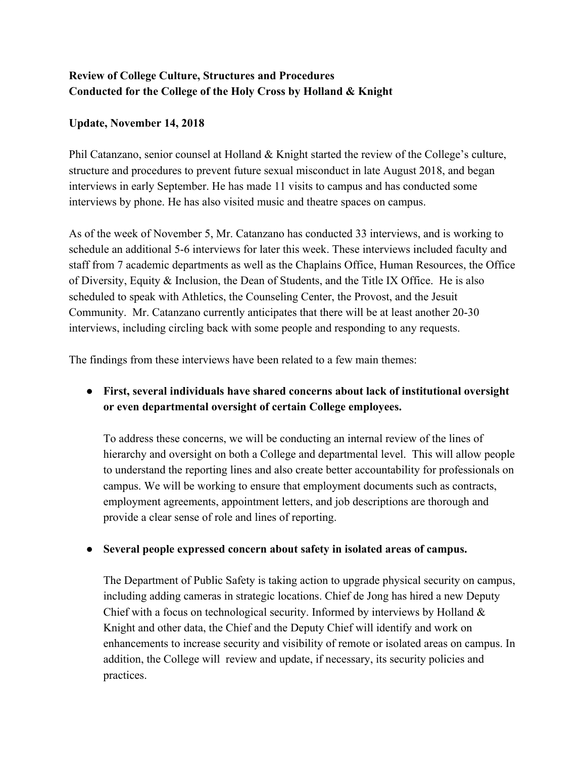# **Review of College Culture, Structures and Procedures Conducted for the College of the Holy Cross by Holland & Knight**

#### **Update, November 14, 2018**

Phil Catanzano, senior counsel at Holland & Knight started the review of the College's culture, structure and procedures to prevent future sexual misconduct in late August 2018, and began interviews in early September. He has made 11 visits to campus and has conducted some interviews by phone. He has also visited music and theatre spaces on campus.

As of the week of November 5, Mr. Catanzano has conducted 33 interviews, and is working to schedule an additional 5-6 interviews for later this week. These interviews included faculty and staff from 7 academic departments as well as the Chaplains Office, Human Resources, the Office of Diversity, Equity & Inclusion, the Dean of Students, and the Title IX Office. He is also scheduled to speak with Athletics, the Counseling Center, the Provost, and the Jesuit Community. Mr. Catanzano currently anticipates that there will be at least another 20-30 interviews, including circling back with some people and responding to any requests.

The findings from these interviews have been related to a few main themes:

## **● First, several individuals have shared concerns about lack of institutional oversight or even departmental oversight of certain College employees.**

To address these concerns, we will be conducting an internal review of the lines of hierarchy and oversight on both a College and departmental level. This will allow people to understand the reporting lines and also create better accountability for professionals on campus. We will be working to ensure that employment documents such as contracts, employment agreements, appointment letters, and job descriptions are thorough and provide a clear sense of role and lines of reporting.

### **● Several people expressed concern about safety in isolated areas of campus.**

The Department of Public Safety is taking action to upgrade physical security on campus, including adding cameras in strategic locations. Chief de Jong has hired a new Deputy Chief with a focus on technological security. Informed by interviews by Holland  $\&$ Knight and other data, the Chief and the Deputy Chief will identify and work on enhancements to increase security and visibility of remote or isolated areas on campus. In addition, the College will review and update, if necessary, its security policies and practices.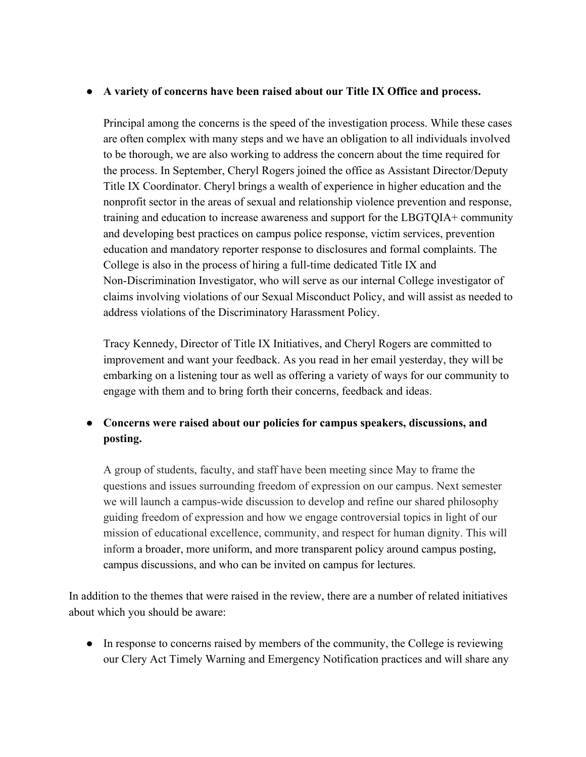#### **● A variety of concerns have been raised about our Title IX Office and process.**

Principal among the concerns is the speed of the investigation process. While these cases are often complex with many steps and we have an obligation to all individuals involved to be thorough, we are also working to address the concern about the time required for the process. In September, Cheryl Rogers joined the office as Assistant Director/Deputy Title IX Coordinator. Cheryl brings a wealth of experience in higher education and the nonprofit sector in the areas of sexual and relationship violence prevention and response, training and education to increase awareness and support for the LBGTQIA+ community and developing best practices on campus police response, victim services, prevention education and mandatory reporter response to disclosures and formal complaints. The College is also in the process of hiring a full-time dedicated Title IX and Non-Discrimination Investigator, who will serve as our internal College investigator of claims involving violations of our Sexual Misconduct Policy, and will assist as needed to address violations of the Discriminatory Harassment Policy.

Tracy Kennedy, Director of Title IX Initiatives, and Cheryl Rogers are committed to improvement and want your feedback. As you read in her email yesterday, they will be embarking on a listening tour as well as offering a variety of ways for our community to engage with them and to bring forth their concerns, feedback and ideas.

## ● **Concerns were raised about our policies for campus speakers, discussions, and posting.**

A group of students, faculty, and staff have been meeting since May to frame the questions and issues surrounding freedom of expression on our campus. Next semester we will launch a campus-wide discussion to develop and refine our shared philosophy guiding freedom of expression and how we engage controversial topics in light of our mission of educational excellence, community, and respect for human dignity. This will inform a broader, more uniform, and more transparent policy around campus posting, campus discussions, and who can be invited on campus for lectures.

In addition to the themes that were raised in the review, there are a number of related initiatives about which you should be aware:

• In response to concerns raised by members of the community, the College is reviewing our Clery Act Timely Warning and Emergency Notification practices and will share any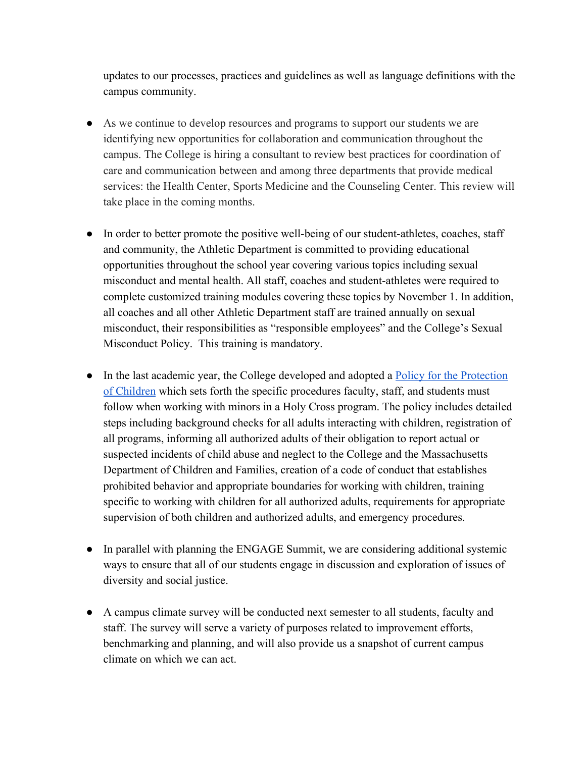updates to our processes, practices and guidelines as well as language definitions with the campus community.

- As we continue to develop resources and programs to support our students we are identifying new opportunities for collaboration and communication throughout the campus. The College is hiring a consultant to review best practices for coordination of care and communication between and among three departments that provide medical services: the Health Center, Sports Medicine and the Counseling Center. This review will take place in the coming months.
- In order to better promote the positive well-being of our student-athletes, coaches, staff and community, the Athletic Department is committed to providing educational opportunities throughout the school year covering various topics including sexual misconduct and mental health. All staff, coaches and student-athletes were required to complete customized training modules covering these topics by November 1. In addition, all coaches and all other Athletic Department staff are trained annually on sexual misconduct, their responsibilities as "responsible employees" and the College's Sexual Misconduct Policy. This training is mandatory.
- In the last academic year, the College developed and adopted a <u>[Policy for the Protection](https://www.holycross.edu/compliance-and-risk-management/policy-protection-children)</u> [of Children](https://www.holycross.edu/compliance-and-risk-management/policy-protection-children) which sets forth the specific procedures faculty, staff, and students must follow when working with minors in a Holy Cross program. The policy includes detailed steps including background checks for all adults interacting with children, registration of all programs, informing all authorized adults of their obligation to report actual or suspected incidents of child abuse and neglect to the College and the Massachusetts Department of Children and Families, creation of a code of conduct that establishes prohibited behavior and appropriate boundaries for working with children, training specific to working with children for all authorized adults, requirements for appropriate supervision of both children and authorized adults, and emergency procedures.
- In parallel with planning the ENGAGE Summit, we are considering additional systemic ways to ensure that all of our students engage in discussion and exploration of issues of diversity and social justice.
- A campus climate survey will be conducted next semester to all students, faculty and staff. The survey will serve a variety of purposes related to improvement efforts, benchmarking and planning, and will also provide us a snapshot of current campus climate on which we can act.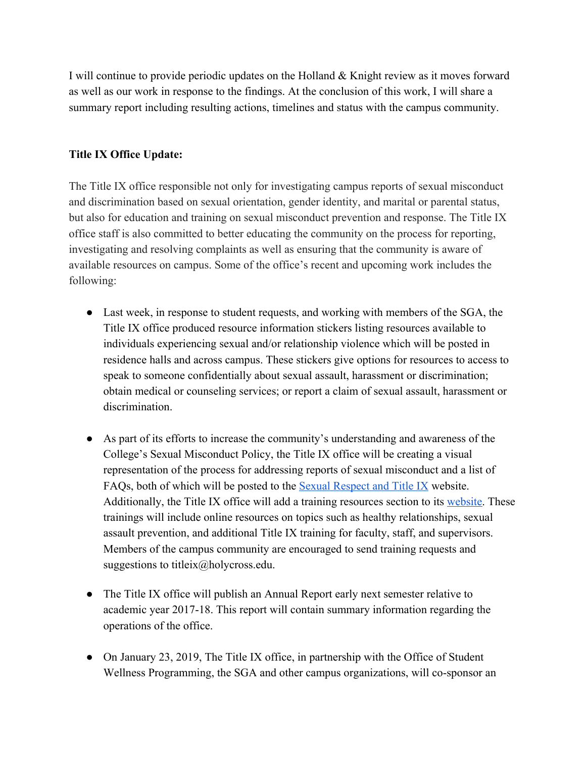I will continue to provide periodic updates on the Holland & Knight review as it moves forward as well as our work in response to the findings. At the conclusion of this work, I will share a summary report including resulting actions, timelines and status with the campus community.

### **Title IX Office Update:**

The Title IX office responsible not only for investigating campus reports of sexual misconduct and discrimination based on sexual orientation, gender identity, and marital or parental status, but also for education and training on sexual misconduct prevention and response. The Title IX office staff is also committed to better educating the community on the process for reporting, investigating and resolving complaints as well as ensuring that the community is aware of available resources on campus. Some of the office's recent and upcoming work includes the following:

- Last week, in response to student requests, and working with members of the SGA, the Title IX office produced resource information stickers listing resources available to individuals experiencing sexual and/or relationship violence which will be posted in residence halls and across campus. These stickers give options for resources to access to speak to someone confidentially about sexual assault, harassment or discrimination; obtain medical or counseling services; or report a claim of sexual assault, harassment or discrimination.
- As part of its efforts to increase the community's understanding and awareness of the College's Sexual Misconduct Policy, the Title IX office will be creating a visual representation of the process for addressing reports of sexual misconduct and a list of FAQs, both of which will be posted to the [Sexual Respect and Title IX](https://www.holycross.edu/sexual-respect-and-title-ix) website. Additionally, the Title IX office will add a training resources section to its [website.](https://www.holycross.edu/sexual-respect-and-title-ix) These trainings will include online resources on topics such as healthy relationships, sexual assault prevention, and additional Title IX training for faculty, staff, and supervisors. Members of the campus community are encouraged to send training requests and suggestions to titleix@holycross.edu.
- The Title IX office will publish an Annual Report early next semester relative to academic year 2017-18. This report will contain summary information regarding the operations of the office.
- On January 23, 2019, The Title IX office, in partnership with the Office of Student Wellness Programming, the SGA and other campus organizations, will co-sponsor an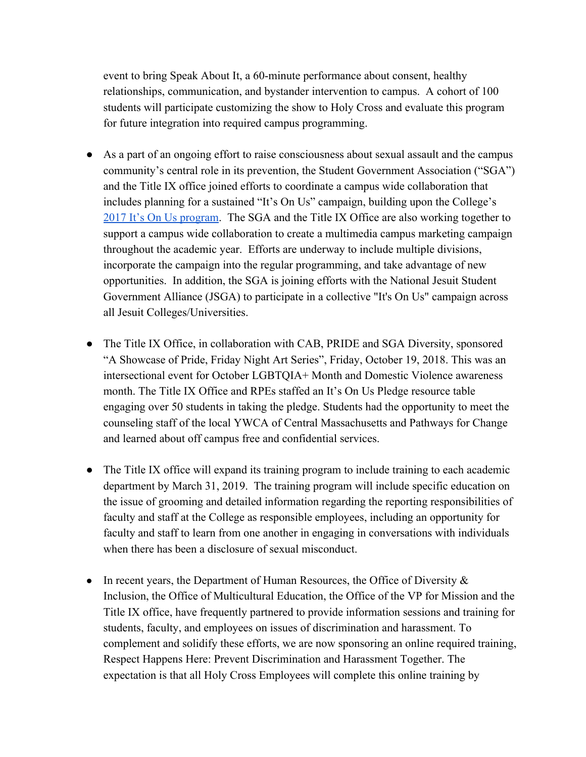event to bring Speak About It, a 60-minute performance about consent, healthy relationships, communication, and bystander intervention to campus. A cohort of 100 students will participate customizing the show to Holy Cross and evaluate this program for future integration into required campus programming.

- As a part of an ongoing effort to raise consciousness about sexual assault and the campus community's central role in its prevention, the Student Government Association ("SGA") and the Title IX office joined efforts to coordinate a campus wide collaboration that includes planning for a sustained "It's On Us" campaign, building upon the College's [2017 It's On Us program.](https://www.youtube.com/watch?v=IFXLXDyhwgk&feature=youtu.be) The SGA and the Title IX Office are also working together to support a campus wide collaboration to create a multimedia campus marketing campaign throughout the academic year. Efforts are underway to include multiple divisions, incorporate the campaign into the regular programming, and take advantage of new opportunities. In addition, the SGA is joining efforts with the National Jesuit Student Government Alliance (JSGA) to participate in a collective "It's On Us" campaign across all Jesuit Colleges/Universities.
- The Title IX Office, in collaboration with CAB, PRIDE and SGA Diversity, sponsored "A Showcase of Pride, Friday Night Art Series", Friday, October 19, 2018. This was an intersectional event for October LGBTQIA+ Month and Domestic Violence awareness month. The Title IX Office and RPEs staffed an It's On Us Pledge resource table engaging over 50 students in taking the pledge. Students had the opportunity to meet the counseling staff of the local YWCA of Central Massachusetts and Pathways for Change and learned about off campus free and confidential services.
- The Title IX office will expand its training program to include training to each academic department by March 31, 2019. The training program will include specific education on the issue of grooming and detailed information regarding the reporting responsibilities of faculty and staff at the College as responsible employees, including an opportunity for faculty and staff to learn from one another in engaging in conversations with individuals when there has been a disclosure of sexual misconduct.
- In recent years, the Department of Human Resources, the Office of Diversity  $\&$ Inclusion, the Office of Multicultural Education, the Office of the VP for Mission and the Title IX office, have frequently partnered to provide information sessions and training for students, faculty, and employees on issues of discrimination and harassment. To complement and solidify these efforts, we are now sponsoring an online required training, Respect Happens Here: Prevent Discrimination and Harassment Together. The expectation is that all Holy Cross Employees will complete this online training by